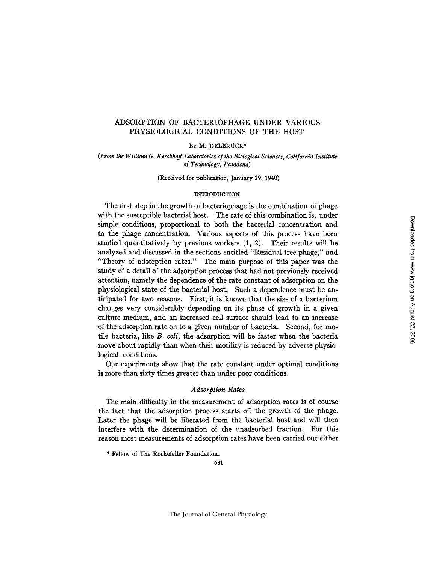# ADSORPTION OF BACTERIOPHAGE UNDER VARIOUS PHYSIOLOGICAL CONDITIONS OF THE HOST

BY M. DELBRÜCK\*

*(From the William G. Kerckkoff Laboratories of the Biological Sciences, California Institute of Technology, Pasadena)* 

(Received for publication, January 29, 1940)

### INTRODUCTION

The first step in the growth of bacteriophage is the combination of phage with the susceptible bacterial host. The rate of this combination is, under simple conditions, proportional to both the bacterial concentration and to the phage concentration. Various aspects of this process have been studied quantitatively by previous workers (1, 2). Their results will be analyzed and discussed in the sections entitled "Residual free phage," and "Theory of adsorption rates." The main purpose of this paper was the study of a detail of the adsorption process that had not previously received attention, namely the dependence of the rate constant of adsorption on the physiological state of the bacterial host. Such a dependence must be anticipated for two reasons. First, it is known that the size of a bacterium changes very considerably depending on its phase of growth in a given culture medium, and an increased cell surface should lead to an increase of the adsorption rate on to a given number of bacteria. Second, for motile bacteria, like *B. coli,* the adsorption will be faster when the bacteria move about rapidly than when their motility is reduced by adverse physiological conditions.

Our experiments show that the rate constant under optimal conditions is more than sixty times greater than under poor conditions.

#### *Adsorption Rates*

The main difficulty in the measurement of adsorption rates is of course the fact that the adsorption process starts off the growth of the phage. Later the phage will be liberated from the bacterial host and will then interfere with the determination of the unadsorbed fraction. For this reason most measurements of adsorption rates have been carried out either

\* Fellow of The Rockefeller Foundation.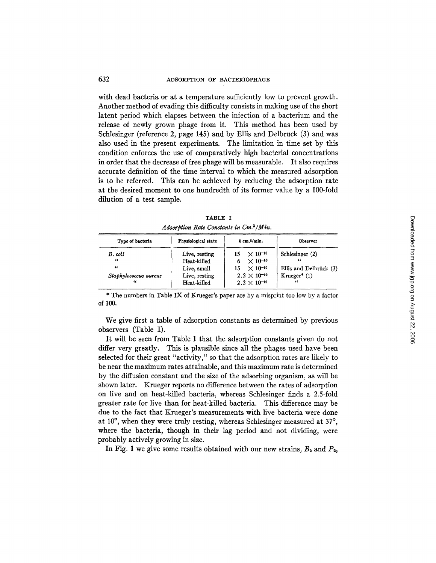with dead bacteria or at a temperature sufficiently low to prevent growth. Another method of evading this difficulty consists in making use of the short latent period which elapses between the infection of a bacterium and the release of newly grown phage from it. This method has been used by Schlesinger (reference 2, page  $145$ ) and by Ellis and Delbrück  $(3)$  and was also used in the present experiments. The limitation in time set by this condition enforces the use of comparatively high bacterial concentrations in order that the decrease of free phage will be measurable. It also requires accurate definition of the time interval to which the measured adsorption is to be referred. This can be achieved by reducing the adsorption rate at the desired moment to one hundredth of its former value by a 100-fold dilution of a test sample.

| Type of bacteria      | Physiological state | $k$ cm. $\frac{3}{\text{min}}$ . | Observer               |  |
|-----------------------|---------------------|----------------------------------|------------------------|--|
| B. coli               | Live, resting       | $15 \times 10^{-10}$             | Schlesinger (2)        |  |
| -66                   | Heat-killed         | $\times 10^{-10}$                |                        |  |
| 44                    | Live, small         | $15 \times 10^{-10}$             | Ellis and Delbrück (3) |  |
| Staphylococcus aureus | Live, resting       | $2.2 \times 10^{-10}$            | $Krueger^*(1)$         |  |
| "                     | Heat-killed         | $2.2 \times 10^{-10}$            | "                      |  |

TABLE I *Adsorption Rate Constants in Cm.~/Min.* 

\* The numbers in Table IX of Krueger's paper are by a misprint too low by a factor of 100.

We give first a table of adsorption constants as determined by previous observers (Table I).

It will be seen from Table I that the adsorption constants given do not differ very greatly. This is plausible since all the phages used have been selected for their great "activity," so that the adsorption rates are likely to be near the maximum rates attainable, and this maximum rate is determined by the diffusion constant and the size of the adsorbing organism, as will be shown later. Krueger reports no difference between the rates of adsorption on live and on heat-killed bacteria, whereas Schlesinger finds a 2.5-fold greater rate for live than for heat-killed bacteria. This difference may be due to the fact that Krueger's measurements with live bacteria were done at  $10^{\circ}$ , when they were truly resting, whereas Schlesinger measured at  $37^{\circ}$ , where the bacteria, though in their lag period and not dividing, were probably actively growing in size.

In Fig. 1 we give some results obtained with our new strains,  $B_2$  and  $P_2$ ,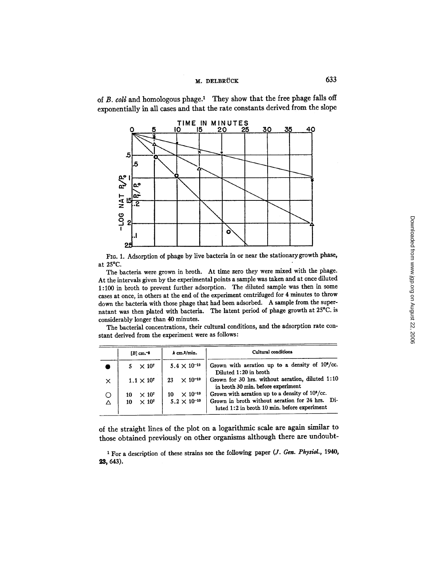of *B. cdi* and homologous phage. 1 They show that the free phage falls off exponentially in all cases and that the rate constants derived from the slope



FIG. 1. Adsorption of phage by live bacteria in or near the stationary growth phase, at 25°C.

The bacteria were grown in broth. At time zero they were mixed with the phage. At the intervals given by the experimental points a sample was taken and at once diluted 1:100 in broth to prevent further adsorption. The diluted sample was then in some cases at once, in others at the end of the experiment centrifuged for 4 minutes to throw down the bacteria with those phage that had been adsorbed. A sample from the supernatant was then plated with bacteria. The latent period of phage growth at 25°C. is considerably longer than 40 minutes.

The bacterial concentrations, their cultural conditions, and the adsorption rate constant derived from the experiment were as follows:

|          | $[B]$ cm. <sup>-3</sup>                              | $k$ cm. $3$ /min.                           | Cultural conditions                                                                                                                                            |  |  |  |
|----------|------------------------------------------------------|---------------------------------------------|----------------------------------------------------------------------------------------------------------------------------------------------------------------|--|--|--|
|          | $5 \times 10^7$                                      | $5.4 \times 10^{-10}$                       | Grown with aeration up to a density of 10 <sup>9</sup> /cc.<br>Diluted 1:20 in broth                                                                           |  |  |  |
| $\times$ | $1.1 \times 10^7$                                    | $23 \times 10^{-10}$                        | Grown for 30 hrs. without aeration, diluted 1:10<br>in broth 30 min. before experiment                                                                         |  |  |  |
| О<br>Δ   | $\times$ 10 <sup>7</sup><br>10<br>$10 \times 10^{7}$ | $10 \times 10^{-10}$<br>$5.2\times10^{-10}$ | Grown with aeration up to a density of 10 <sup>8</sup> /cc.<br>Grown in broth without aeration for 24 hrs. Di-<br>luted 1:2 in broth 10 min. before experiment |  |  |  |

of the straight lines of the plot on a logarithmic scale are again similar to those obtained previously on other organisms although there are undoubt-

1 For a description of these strains see the following paper *(]. Gen. Physiol.,* 1940, 23~ 643).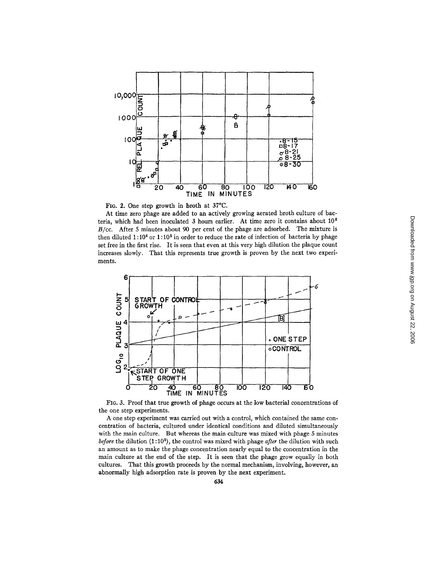



At time zero phage are added to an actively growing aerated broth culture of bacteria, which had been inoculated 3 hours earlier. At time zero it contains about 108 *B/cc.* Mter 5 minutes about 90 per cent of the phage are adsorbed. The mixture is then diluted  $1:10<sup>4</sup>$  or  $1:10<sup>5</sup>$  in order to reduce the rate of infection of bacteria by phage set free in the first rise. It is seen that even at this very high dilution the plaque count increases slowly. That this represents true growth is proven by the next two experiments.



FIG. 3. Proof that true growth of phage occurs at the low bacterial concentrations of the one step experiments.

A one step experiment was carried out with a control, which contained the same concentration of bacteria, cultured under identical conditions and diluted simultaneously with the main culture. But whereas the main culture was mixed with phage 5 minutes *before* the dilution (1:106), the control was mixed with phage *after* the dilution with such an amount as to make the phage concentration nearly equal to the concentration in the main culture at the end of the step. It is seen that the phage grow equally in both cultures. That this growth proceeds by the normal mechanism, involving, however, an abnormally high adsorption rate is proven by the next experiment.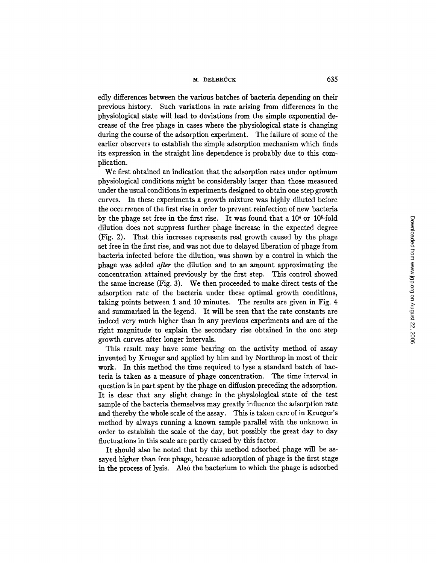### M. DELBRÜCK 635

edly differences between the various batches of bacteria depending on their previous history. Such variations in rate arising from differences in the physiological state will lead to deviations from the simple exponential decrease of the free phage in cases where the physiological state is changing during the course of the adsorption experiment. The failure of some of the earlier observers to establish the simple adsorption mechanism which finds its expression in the straight line dependence is probably due to this complication.

We first obtained an indication that the adsorption rates under optimum physiological conditions might be considerably larger than those measured under the usual conditions in experiments designed to obtain one step growth curves. In these experiments a growth mixture was highly diluted before the occurrence of the first rise in order to prevent reinfection of new bacteria by the phage set free in the first rise. It was found that a  $10<sup>4</sup>$  or  $10<sup>5</sup>$ -fold dilution does not suppress further phage increase in the expected degree (Fig. 2). That this increase represents real growth caused by the phage set free in the first rise, and was not due to delayed liberation of phage from bacteria infected before the dilution, was shown by a control in which the phage was added *after* the dilution and to an amount approximating the concentration attained previously by the first step. This control showed the same increase (Fig. 3). We then proceeded to make direct tests of the adsorption rate of the bacteria under these optimal growth conditions, taking points between 1 and 10 minutes. The results are given in Fig. 4 and summarized in the legend. It will be seen that the rate constants are indeed very much higher than in any previous experiments and are of the right magnitude to explain the secondary rise obtained in the one step growth curves after longer intervals.

This result may have some bearing on the activity method of assay invented by Krueger and applied by him and by Northrop in most of their work. In this method the time required to lyse a standard batch of bacteria is taken as a measure of phage concentration. The time interval in question is in part spent by the phage on diffusion preceding the adsorption. It is clear that any slight change in the physiological state of the test sample of the bacteria themselves may greatly influence the adsorption rate and thereby the whole scale of the assay, This is taken care of in Krueger's method by always running a known sample parallel with the unknown in order to establish the scale of the day, but possibly the great day to day fluctuations in this scale are partly caused by this factor.

It should also be noted that by this method adsorbed phage wiU be assayed higher than free phage, because adsorption of phage is the first stage in the process of lysis. Also the bacterium to which the phage is adsorbed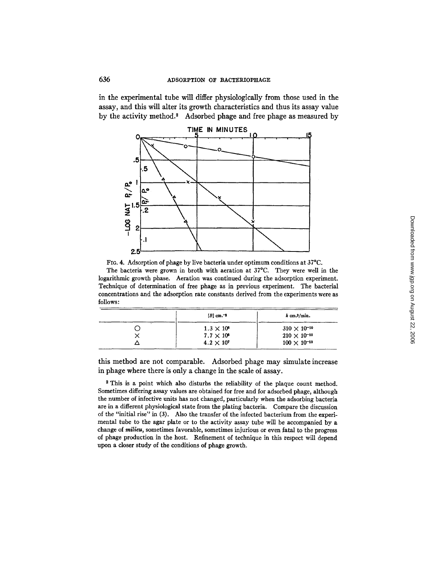in the experimental tube will differ physiologically from those used in the assay, and this will alter its growth characteristics and thus its assay value by the activity method.<sup>2</sup> Adsorbed phage and free phage as measured by



FIG. 4. Adsorption of phage by live bacteria under optimum conditions at 37°C.

The bacteria were grown in broth with aeration at 37°C. They were well in the logarithmic growth phase. Aeration was continued during the adsorption experiment. Technique of determination of free phage as in previous experiment. The bacterial concentrations and the adsorption rate constants derived from the experiments were as follows:

| $[B]$ cm. <sup>-3</sup> | $k$ cm, $3$ /min.     |  |  |
|-------------------------|-----------------------|--|--|
| $1.3 \times 10^{6}$     | $310 \times 10^{-10}$ |  |  |
| $7.7 \times 10^6$       | $210 \times 10^{-10}$ |  |  |
| $4.2 \times 10^{7}$     | $100 \times 10^{-10}$ |  |  |

this method are not comparable. Adsorbed phage may simulate increase in phage where there is only a change in the scale of assay.

<sup>2</sup> This is a point which also disturbs the reliability of the plaque count method. Sometimes differing assay values are obtained for free and for adsorbed phage, although the number of infective units has not changed, particularly when the adsorbing bacteria are in a different physiological state from the plating bacteria. Compare the discussion of the "initial rise" in (3). Also the transfer of the infected bacterium from the experimental tube to the agar plate or to the activity assay tube will be accompanied by a change of *milieu,* sometimes favorable, sometimes injurious or even fatal to the progress of phage production in the host. Refinement of technique in this respect will depend upon a closer study of the conditions of phage growth.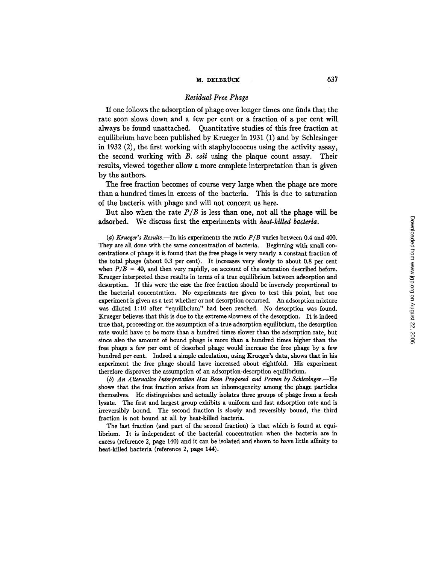### *Residual Free Pkage*

If one follows the adsorption of phage over longer times one finds that the rate soon slows down and a few per cent or a fraction of a per cent will always be found unattached. Quantitative studies of this free fraction at equilibrium have been published by Krueger in 1931 (1) and by Schlesinger in 1932 (2), the first working with staphylococcus using the activity assay, the second working with *B. coli* using the plaque count assay. Their results, viewed together allow a more complete interpretation than is given by the authors.

The free fraction becomes of course very large when the phage are more than a hundred times in excess of the bacteria. This is due to saturation of the bacteria with phage and will not concern us here.

But also when the rate  $P/B$  is less than one, not all the phage will be adsorbed. We discuss first the experiments with *heat-killed bacteria.* 

*(a) Krueger's Results.--In* his experiments the ratio *P/B* varies between 0.4 and 400. They are all done with the same concentration of bacteria. Beginning with small concentrations of phage it is found that the free phage is very nearly a constant fraction of the total phage (about 0.3 per cent). It increases very slowly to about 0.8 per cent when  $P/B = 40$ , and then very rapidly, on account of the saturation described before. Krueger interpreted these results in terms of a true equilibrium between adsorption and desorption. If this were the case the free fraction should be inversely proportional to the bacterial concentration. No experiments are given to test this point, but one experiment is given as a test whether or not desorption occurred. An adsorption mixture was diluted 1:10 after "equilibrium" had been reached. No desorption was found. Krueger believes that this is due to the extreme slowness of the desorption. It is indeed true that, proceeding on the assumption of a true adsorption equilibrium, the desorption rate would have to be more than a hundred times slower than the adsorption rate, but since also the amount of bound phage is more than a hundred times higher than the free phage a few per cent of desorbed phage would increase the free phage by a few hundred per cent. Indeed a simple calculation, using Krueger's data, shows that in his experiment the free phage should have increased about eightfold. His experiment therefore disproves the assumption of an adsorption-desorption equilibrium.

*(b) An Alternative Interpretation Has Been Proposed and Proven by Scklesinger.--He*  shows that the free fraction arises from an inhomogeneity among the phage particles themselves. He distinguishes and actually isolates three groups of phage from a fresh lysate. The first and largest group exhibits a uniform and fast adsorption rate and is irreversibly bound. The second fraction is slowly and reversibly bound, the third fraction is not bound at all by heat-killed bacteria.

The last fraction (and part of the second fraction) is that which is found at equilibrium. It is independent of the bacterial concentration when the bacteria are in excess (reference 2, page 140) and it can be isolated and shown to have little affinity to heat-killed bacteria (reference 2, page 144).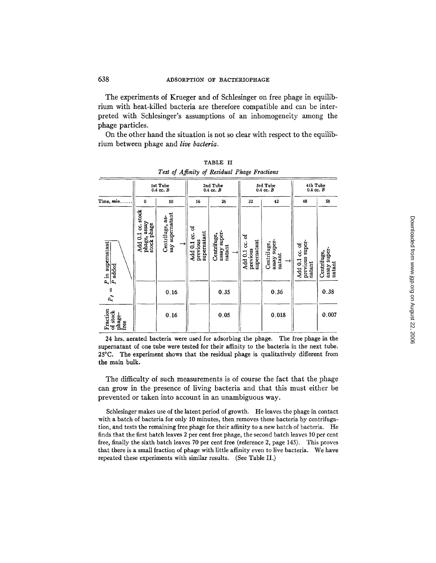The experiments of Krueger and of Schlesinger on free phage in equilibrium with heat-killed bacteria are therefore compatible and can be interpreted with Schlesinger's assumptions of an inhomogeneity among the phage particles.

On the other hand the situation is not so clear with respect to the equilibrium between phage and *live bacteria.* 

|                                                                   | 1st Tube<br>$0.4$ cc. $B$                           |                                    | 2nd Tube<br>$0.4$ cc. $B$                    |                                       | 3rd Tube<br>$0.4$ cc. $B$                    |                                       | 4th Tube<br>$0.4$ cc. $B$                           |                                       |
|-------------------------------------------------------------------|-----------------------------------------------------|------------------------------------|----------------------------------------------|---------------------------------------|----------------------------------------------|---------------------------------------|-----------------------------------------------------|---------------------------------------|
| Time, min.                                                        | $\bf{0}$                                            | 10                                 | 16                                           | 26                                    | 32                                           | 42                                    | 48                                                  | 58                                    |
| supernatant<br>$\frac{P \text{ in } \text{sup}}{P \text{ added}}$ | cc. stock<br>phage, assay<br>stock phage<br>Add 0.1 | say supernatant<br>Centrifuge, as- | đ<br>supernatant<br>g<br>previous<br>Add 0.1 | assay super-<br>Centrifuge,<br>natant | cc. of<br>supernatant<br>previous<br>Add 0.1 | assay super-<br>Centrifuge,<br>natant | super-<br>cc. of<br>previous s<br>natant<br>Add 0.1 | assay super-<br>Centrifuge,<br>natant |
| P,                                                                |                                                     | 0.16                               |                                              | 0.35                                  |                                              | 0.36                                  |                                                     | 0.38                                  |
| Fraction<br>of stock<br>phage-<br>free                            |                                                     | 0.16                               |                                              | 0.05                                  |                                              | 0.018                                 |                                                     | 0.007                                 |

TABLE II *Test of Affinity of Residual Phage Fractions* 

24 hrs. aerated bacteria were used for adsorbing the phage. The free phage in the supernatant of one tube were tested for their affinity to the bacteria in the next tube. 25°C. The experiment shows that the residual phage is qualitatively different from **the** main bulk.

The difficulty of such measurements is of course the fact that the phage can grow in the presence of living bacteria and that this must either be prevented or taken into account in an unambiguous way.

Schlesinger makes use of the latent period of growth. He leaves the phage in contact with a batch of bacteria for only 10 minutes, then removes these bacteria by centrifugation, and tests the remaining free phage for their affinity to a new batch of bacteria. He finds that the first batch leaves 2 per cent free phage, the second batch leaves 10 per cent free, finally the sixth batch leaves 70 per cent free (reference 2, page 145). This proves that there is a small fraction of phage with little affinity even to live bacteria. We have repeated these experiments with similar results. (See Table II.)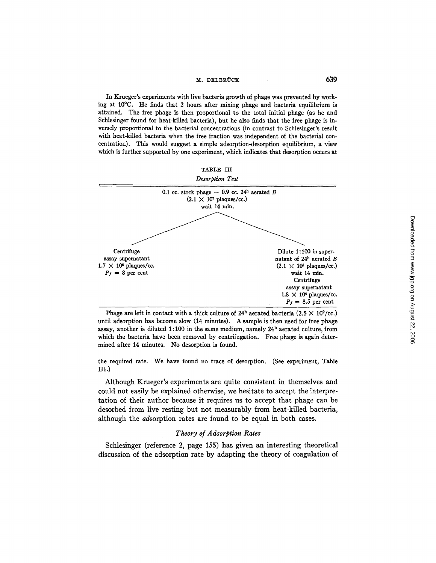### M. DELBRÜCK 639

In Krueger's experiments with live bacteria growth of phage was prevented by working at 10°C. He finds that 2 hours after mixing phage and bacteria equilibrium is attained. The free phage is then proportional to the total initial phage (as he and Schlesinger found for heat-killed bacteria), but he also finds that the free phage is inversely proportional to the bacterial concentrations (in contrast to Schlesinger's result with heat-killed bacteria when the free fraction was independent of the bacterial concentration). This would suggest a simple adsorption-desorption equilibrium, a view which is further supported by one experiment, which indicates that desorption occurs at





Phage are left in contact with a thick culture of  $24^h$  aerated bacteria (2.5  $\times$  10<sup>9</sup>/cc.) until adsorption has become slow (14 minutes). A sample is then used for free phage assay, another is diluted 1:100 in the same medium, namely  $24<sup>h</sup>$  aerated culture, from which the bacteria have been removed by centrifugation. Free phage is again determined after 14 minutes. No desorption is found.

the required rate. We have found no trace of desorption. (See experiment, Table In.)

Although Krueger's experiments are quite consistent in themselves and could not easily be explained otherwise, we hesitate to accept the interpretation of their author because it requires us to accept that phage can be desorbed from live resting but not measurably from heat-killed bacteria, although the adsorption rates are found to be equal in both cases.

## *Theory of Adsorption Rates*

Schlesinger (reference 2, page 155) has given an interesting theoretical discussion of the adsorption rate by adapting the theory of coagulation of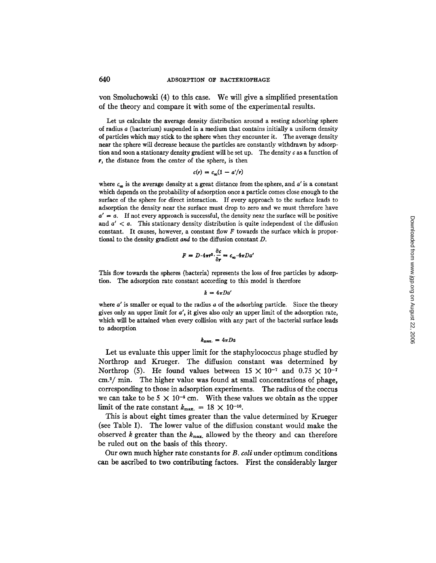### 640 ADSORPTION OF BACTERIOPHAGE

von Smoluchowski (4) to this case. We will give a simplified presentation of the theory and compare it with some of the experimental results.

Let us calculate the average density distribution around a resting adsorbing sphere of radius  $a$  (bacterium) suspended in a medium that contains initially a uniform density of particles which may stick to the sphere when they encounter it. The average density near the sphere will decrease because the particles are constantly withdrawn by adsorption and soon a stationary density gradient will be set up. The density  $c$  as a function of r, the distance from the center of the sphere, is then

$$
c(r) = c_{\infty}(1 - a'/r)
$$

where  $c_{\infty}$  is the average density at a great distance from the sphere, and  $a'$  is a constant which depends on the probability of adsorption once a particle comes close enough to the surface of the sphere for direct interaction. If every approach to the surface leads to adsorption the density near the surface must drop to zero and we must therefore have  $a' = a$ . If not every approach is successful, the density near the surface will be positive and  $a' < a$ . This stationary density distribution is quite independent of the diffusion constant. It causes, however, a constant flow  $F$  towards the surface which is proportional to the density gradient and to the diffusion constant  $D$ .

$$
F = D \cdot 4\pi r^2 \cdot \frac{\partial c}{\partial r} = c_{\infty} \cdot 4\pi D a'
$$

This flow towards the spheres (bacteria) represents the loss of free particles by adsorption. The adsorption rate constant according to this model is therefore

$$
k=4\pi Da'
$$

where  $a'$  is smaller or equal to the radius  $a$  of the adsorbing particle. Since the theory gives only an upper limit for  $a'$ , it gives also only an upper limit of the adsorption rate, which will be attained when every collision with any part of the bacterial surface leads to adsorption

$$
k_{\max.} = 4\pi Da
$$

Let us evaluate this upper limit for the staphylococcus phage studied by Northrop and Krueger. The diffusion constant was determined by Northrop (5). He found values between  $15 \times 10^{-7}$  and  $0.75 \times 10^{-7}$  $cm<sup>2</sup>/min$ . The higher value was found at small concentrations of phage, corresponding to those in adsorption experiments. The radius of the coccus we can take to be 5  $\times$  10<sup>-5</sup> cm. With these values we obtain as the upper limit of the rate constant  $k_{\text{max.}} = 18 \times 10^{-10}$ .

This is about eight times greater than the value determined by Krueger (see Table I). The lower value of the diffusion constant would make the observed k greater than the  $k_{\text{max}}$  allowed by the theory and can therefore be ruled out on the basis of this theory.

Our own much higher rate constants for *B. coli* under optimum conditions can be ascribed to two contributing factors. First the considerably larger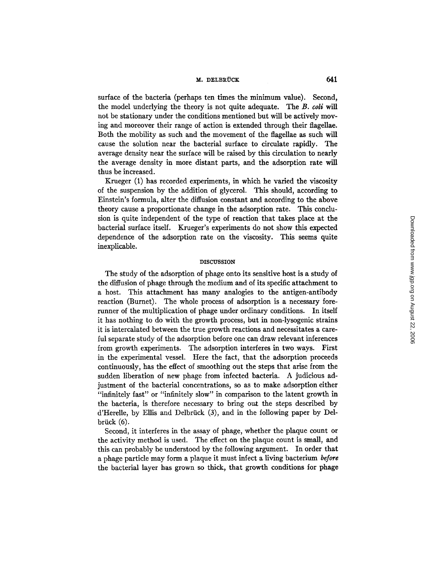### M. DELBRÜCK 641

surface of the bacteria (perhaps ten times the minimum value). Second, the model underlying the theory is not quite adequate. The *B. toll* will not be stationary under the conditions mentioned but will be actively moving and moreover their range of action is extended through their flagellae. Both the mobility as such and the movement of the flagellae as such will cause the solution near the bacterial surface to circulate rapidly. The average density near the surface will be raised by this circulation to nearly the average density in more distant parts, and the adsorption rate will thus be increased.

Krueger (1) has recorded experiments, in which he varied the viscosity of the suspension by the addition of glycerol. This should, according to Einstein's formula, alter the diffusion constant and according to the above theory cause a proportionate change in the adsorption rate. This conclusion is quite independent of the type of reaction that takes place at the bacterial surface itself. Krueger's experiments do not show this expected dependence of the adsorption rate on the viscosity. This seems quite inexplicable.

### **DISCUSSION**

The study of the adsorption of phage onto its sensitive host is a study of the diffusion of phage through the medium and of its specific attachment to **<sup>a</sup>**host. This attachment has many analogies to the antigen-antibody reaction (Burnet). The whole process of adsorption is a necessary forerunner of the multiplication of phage under ordinary conditions. In itself it has nothing to do with the growth process, but in non-lysogenic strains it is intercalated between the true growth reactions and necessitates a careful separate study of the adsorption before one can draw relevant inferences from growth experiments. The adsorption interferes in two ways. First in the experimental vessel. Here the fact, that the adsorption proceeds continuously, has the effect of smoothing out the steps that arise from the sudden liberation of new phage from infected bacteria. A judicious adjustment of the bacterial concentrations, so as to make adsorption either "infinitely fast" or "infinitely slow" in comparison to the latent growth in the bacteria, is therefore necessary to bring out the steps described by d'Herelle, by Ellis and Delbrück (3), and in the following paper by Delbrück  $(6)$ .

Second, it interferes in the assay of phage, whether the plaque count or the activity method is used. The effect on the plaque count is small, and this can probably be understood by the following argument. In order that a phage particle may form a plaque it must infect a living bacterium *before*  the bacterial layer has grown so thick, that growth conditions for phage